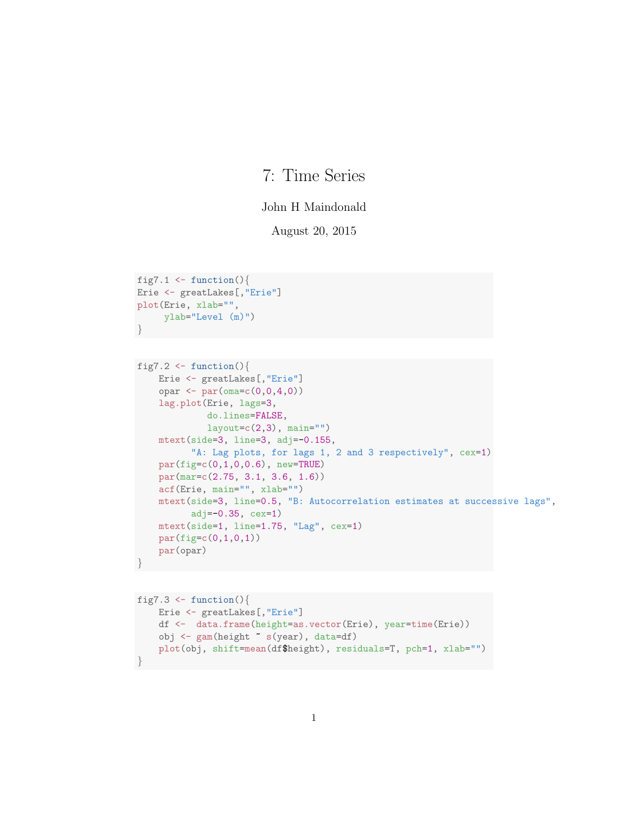## 7: Time Series

## John H Maindonald

August 20, 2015

```
fig7.1 <- function(){
Erie <- greatLakes[,"Erie"]
plot(Erie, xlab="",
     ylab="Level (m)")
}
fig7.2 <- function(){
   Erie <- greatLakes[,"Erie"]
    opar \leq par(\text{oma} = c(0, 0, 4, 0))lag.plot(Erie, lags=3,
             do.lines=FALSE,
             layout=c(2,3), main="")
    mtext(side=3, line=3, adj=-0.155,
          "A: Lag plots, for lags 1, 2 and 3 respectively", cex=1)
    par(fig=c(0,1,0,0.6), new=TRUE)
    par(mar=c(2.75, 3.1, 3.6, 1.6))
    acf(Erie, main="", xlab="")
    mtext(side=3, line=0.5, "B: Autocorrelation estimates at successive lags",
          adj=-0.35, cex=1)mtext(side=1, line=1.75, "Lag", cex=1)
    par(figec(0,1,0,1))par(opar)
}
```

```
fig7.3 \leftarrow function(){
   Erie <- greatLakes[,"Erie"]
    df <- data.frame(height=as.vector(Erie), year=time(Erie))
    obj <- gam(height ~ s(year), data=df)
    plot(obj, shift=mean(df$height), residuals=T, pch=1, xlab="")
}
```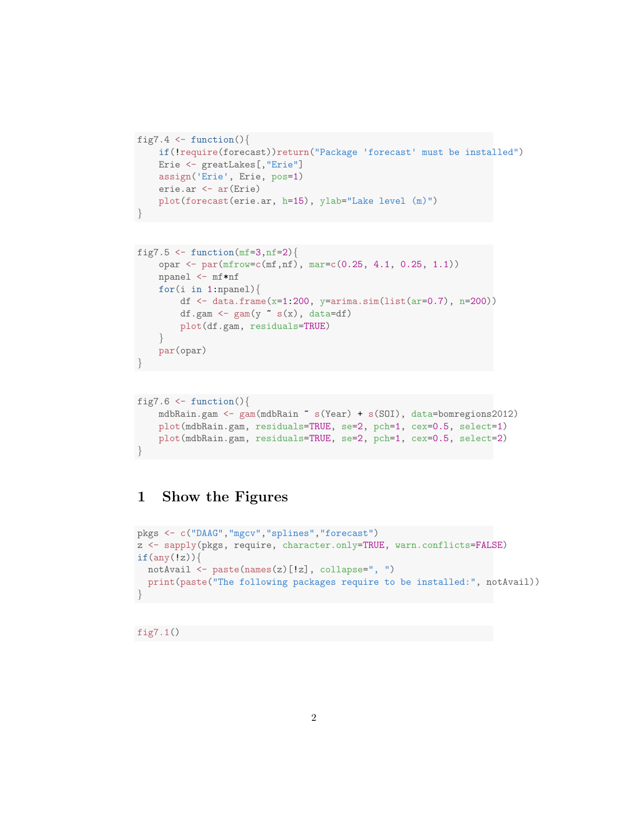```
fig7.4 \leftarrow function(){
    if(!require(forecast))return("Package 'forecast' must be installed")
    Erie <- greatLakes[,"Erie"]
    assign('Erie', Erie, pos=1)
    erie.ar <- ar(Erie)
    plot(forecast(erie.ar, h=15), ylab="Lake level (m)")
}
```

```
fig7.5 \leftarrow function(mf=3,nf=2){
    opar <- par(mfrow=c(mf,nf), mar=c(0.25, 4.1, 0.25, 1.1))
    npanel <- mf*nf
    for(i in 1:npanel)\{df <- data.frame(x=1:200, y=arima.sim(list(ar=0.7), n=200))
         df.gam <- \text{gam}(y \text{ s}(x), \text{ data=df})plot(df.gam, residuals=TRUE)
    }
    par(opar)
}
```

```
fig7.6 \leftarrow function(){
    mdbRain.gam <- gam(mdbRain ~ s(Year) + s(SOI), data=bomregions2012)
    plot(mdbRain.gam, residuals=TRUE, se=2, pch=1, cex=0.5, select=1)
    plot(mdbRain.gam, residuals=TRUE, se=2, pch=1, cex=0.5, select=2)
}
```
## 1 Show the Figures

```
pkgs <- c("DAAG","mgcv","splines","forecast")
z <- sapply(pkgs, require, character.only=TRUE, warn.conflicts=FALSE)
if(any(!z))notAvail <- paste(names(z)[!z], collapse=", ")
 print(paste("The following packages require to be installed:", notAvail))
}
```

```
fig7.1()
```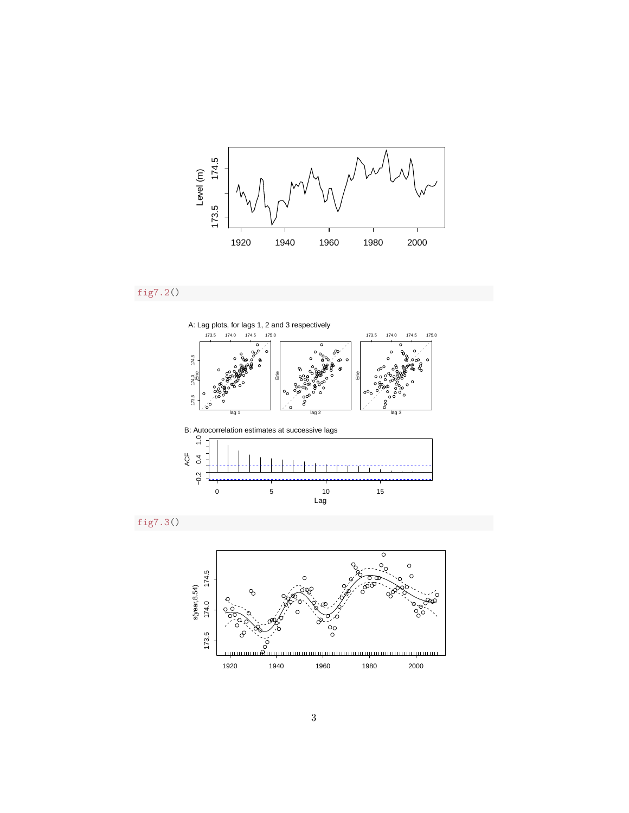

fig7.2()